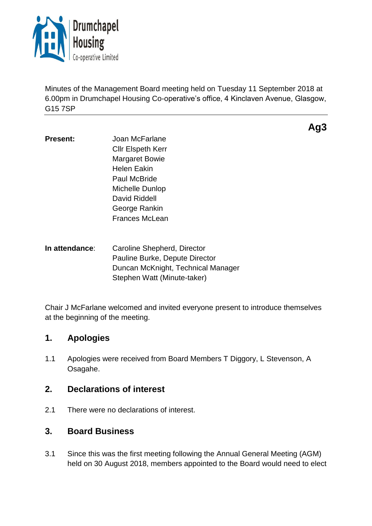

Minutes of the Management Board meeting held on Tuesday 11 September 2018 at 6.00pm in Drumchapel Housing Co-operative's office, 4 Kinclaven Avenue, Glasgow, G15 7SP

**Ag3**

- **Present:** Joan McFarlane Cllr Elspeth Kerr Margaret Bowie Helen Eakin Paul McBride Michelle Dunlop David Riddell George Rankin Frances McLean
- **In attendance**: Caroline Shepherd, Director Pauline Burke, Depute Director Duncan McKnight, Technical Manager Stephen Watt (Minute-taker)

Chair J McFarlane welcomed and invited everyone present to introduce themselves at the beginning of the meeting.

# **1. Apologies**

1.1 Apologies were received from Board Members T Diggory, L Stevenson, A Osagahe.

# **2. Declarations of interest**

2.1 There were no declarations of interest.

# **3. Board Business**

3.1 Since this was the first meeting following the Annual General Meeting (AGM) held on 30 August 2018, members appointed to the Board would need to elect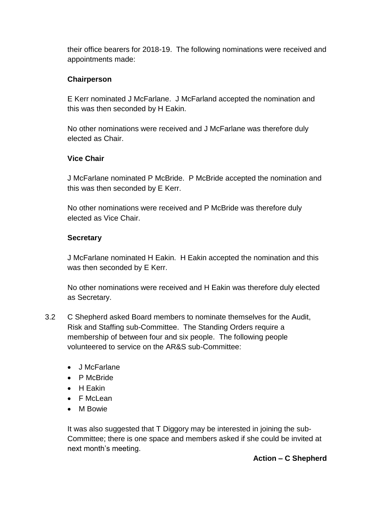their office bearers for 2018-19. The following nominations were received and appointments made:

### **Chairperson**

E Kerr nominated J McFarlane. J McFarland accepted the nomination and this was then seconded by H Eakin.

No other nominations were received and J McFarlane was therefore duly elected as Chair.

#### **Vice Chair**

J McFarlane nominated P McBride. P McBride accepted the nomination and this was then seconded by E Kerr.

No other nominations were received and P McBride was therefore duly elected as Vice Chair.

#### **Secretary**

J McFarlane nominated H Eakin. H Eakin accepted the nomination and this was then seconded by E Kerr.

No other nominations were received and H Eakin was therefore duly elected as Secretary.

- 3.2 C Shepherd asked Board members to nominate themselves for the Audit, Risk and Staffing sub-Committee. The Standing Orders require a membership of between four and six people. The following people volunteered to service on the AR&S sub-Committee:
	- J McFarlane
	- P McBride
	- H Eakin
	- F McLean
	- M Bowie

It was also suggested that T Diggory may be interested in joining the sub-Committee; there is one space and members asked if she could be invited at next month's meeting.

#### **Action – C Shepherd**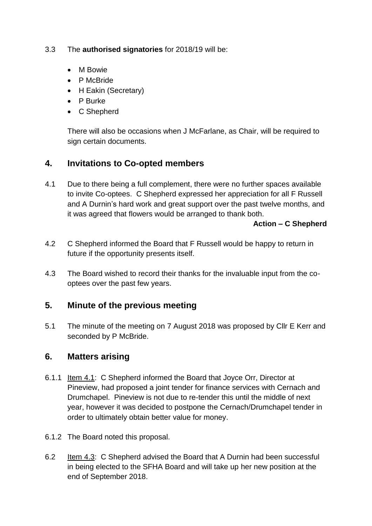#### 3.3 The **authorised signatories** for 2018/19 will be:

- M Bowie
- P McBride
- H Eakin (Secretary)
- P Burke
- C Shepherd

There will also be occasions when J McFarlane, as Chair, will be required to sign certain documents.

# **4. Invitations to Co-opted members**

4.1 Due to there being a full complement, there were no further spaces available to invite Co-optees. C Shepherd expressed her appreciation for all F Russell and A Durnin's hard work and great support over the past twelve months, and it was agreed that flowers would be arranged to thank both.

#### **Action – C Shepherd**

- 4.2 C Shepherd informed the Board that F Russell would be happy to return in future if the opportunity presents itself.
- 4.3 The Board wished to record their thanks for the invaluable input from the cooptees over the past few years.

## **5. Minute of the previous meeting**

5.1 The minute of the meeting on 7 August 2018 was proposed by Cllr E Kerr and seconded by P McBride.

## **6. Matters arising**

- 6.1.1 Item 4.1: C Shepherd informed the Board that Joyce Orr, Director at Pineview, had proposed a joint tender for finance services with Cernach and Drumchapel. Pineview is not due to re-tender this until the middle of next year, however it was decided to postpone the Cernach/Drumchapel tender in order to ultimately obtain better value for money.
- 6.1.2 The Board noted this proposal.
- 6.2 Item 4.3: C Shepherd advised the Board that A Durnin had been successful in being elected to the SFHA Board and will take up her new position at the end of September 2018.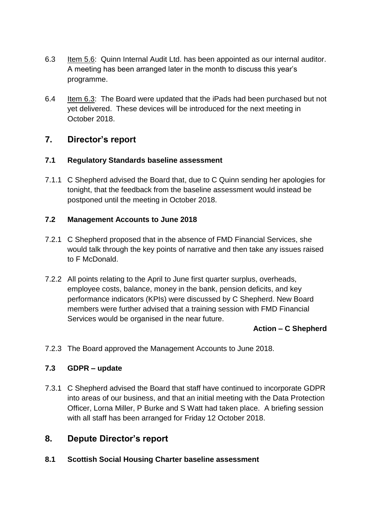- 6.3 Item 5.6: Quinn Internal Audit Ltd. has been appointed as our internal auditor. A meeting has been arranged later in the month to discuss this year's programme.
- 6.4 Item 6.3: The Board were updated that the iPads had been purchased but not yet delivered. These devices will be introduced for the next meeting in October 2018.

# **7. Director's report**

#### **7.1 Regulatory Standards baseline assessment**

7.1.1 C Shepherd advised the Board that, due to C Quinn sending her apologies for tonight, that the feedback from the baseline assessment would instead be postponed until the meeting in October 2018.

#### **7.2 Management Accounts to June 2018**

- 7.2.1 C Shepherd proposed that in the absence of FMD Financial Services, she would talk through the key points of narrative and then take any issues raised to F McDonald.
- 7.2.2 All points relating to the April to June first quarter surplus, overheads, employee costs, balance, money in the bank, pension deficits, and key performance indicators (KPIs) were discussed by C Shepherd. New Board members were further advised that a training session with FMD Financial Services would be organised in the near future.

#### **Action – C Shepherd**

7.2.3 The Board approved the Management Accounts to June 2018.

#### **7.3 GDPR – update**

7.3.1 C Shepherd advised the Board that staff have continued to incorporate GDPR into areas of our business, and that an initial meeting with the Data Protection Officer, Lorna Miller, P Burke and S Watt had taken place. A briefing session with all staff has been arranged for Friday 12 October 2018.

## **8. Depute Director's report**

**8.1 Scottish Social Housing Charter baseline assessment**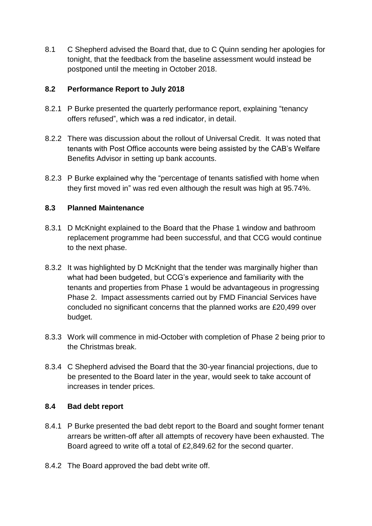8.1 C Shepherd advised the Board that, due to C Quinn sending her apologies for tonight, that the feedback from the baseline assessment would instead be postponed until the meeting in October 2018.

#### **8.2 Performance Report to July 2018**

- 8.2.1 P Burke presented the quarterly performance report, explaining "tenancy offers refused", which was a red indicator, in detail.
- 8.2.2 There was discussion about the rollout of Universal Credit. It was noted that tenants with Post Office accounts were being assisted by the CAB's Welfare Benefits Advisor in setting up bank accounts.
- 8.2.3 P Burke explained why the "percentage of tenants satisfied with home when they first moved in" was red even although the result was high at 95.74%.

### **8.3 Planned Maintenance**

- 8.3.1 D McKnight explained to the Board that the Phase 1 window and bathroom replacement programme had been successful, and that CCG would continue to the next phase.
- 8.3.2 It was highlighted by D McKnight that the tender was marginally higher than what had been budgeted, but CCG's experience and familiarity with the tenants and properties from Phase 1 would be advantageous in progressing Phase 2. Impact assessments carried out by FMD Financial Services have concluded no significant concerns that the planned works are £20,499 over budget.
- 8.3.3 Work will commence in mid-October with completion of Phase 2 being prior to the Christmas break.
- 8.3.4 C Shepherd advised the Board that the 30-year financial projections, due to be presented to the Board later in the year, would seek to take account of increases in tender prices.

#### **8.4 Bad debt report**

- 8.4.1 P Burke presented the bad debt report to the Board and sought former tenant arrears be written-off after all attempts of recovery have been exhausted. The Board agreed to write off a total of £2,849.62 for the second quarter.
- 8.4.2 The Board approved the bad debt write off.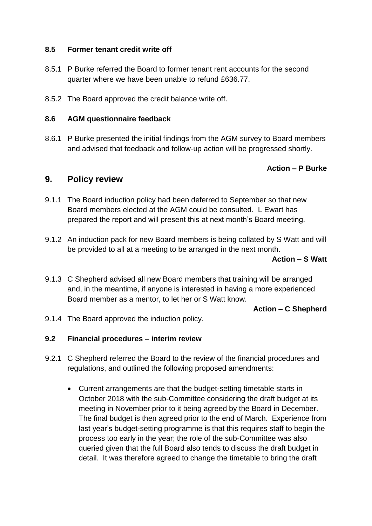#### **8.5 Former tenant credit write off**

- 8.5.1 P Burke referred the Board to former tenant rent accounts for the second quarter where we have been unable to refund £636.77.
- 8.5.2 The Board approved the credit balance write off.

#### **8.6 AGM questionnaire feedback**

8.6.1 P Burke presented the initial findings from the AGM survey to Board members and advised that feedback and follow-up action will be progressed shortly.

#### **Action – P Burke**

### **9. Policy review**

- 9.1.1 The Board induction policy had been deferred to September so that new Board members elected at the AGM could be consulted. L Ewart has prepared the report and will present this at next month's Board meeting.
- 9.1.2 An induction pack for new Board members is being collated by S Watt and will be provided to all at a meeting to be arranged in the next month.

#### **Action – S Watt**

9.1.3 C Shepherd advised all new Board members that training will be arranged and, in the meantime, if anyone is interested in having a more experienced Board member as a mentor, to let her or S Watt know.

#### **Action – C Shepherd**

9.1.4 The Board approved the induction policy.

#### **9.2 Financial procedures – interim review**

- 9.2.1 C Shepherd referred the Board to the review of the financial procedures and regulations, and outlined the following proposed amendments:
	- Current arrangements are that the budget-setting timetable starts in October 2018 with the sub-Committee considering the draft budget at its meeting in November prior to it being agreed by the Board in December. The final budget is then agreed prior to the end of March. Experience from last year's budget-setting programme is that this requires staff to begin the process too early in the year; the role of the sub-Committee was also queried given that the full Board also tends to discuss the draft budget in detail. It was therefore agreed to change the timetable to bring the draft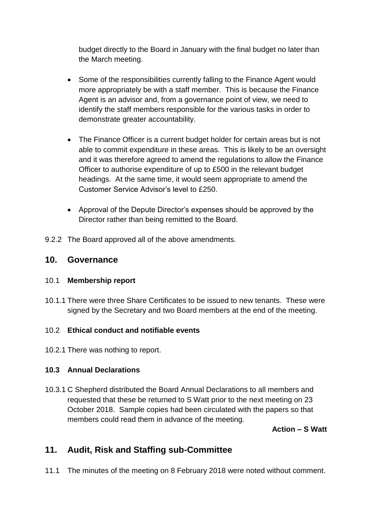budget directly to the Board in January with the final budget no later than the March meeting.

- Some of the responsibilities currently falling to the Finance Agent would more appropriately be with a staff member. This is because the Finance Agent is an advisor and, from a governance point of view, we need to identify the staff members responsible for the various tasks in order to demonstrate greater accountability.
- The Finance Officer is a current budget holder for certain areas but is not able to commit expenditure in these areas. This is likely to be an oversight and it was therefore agreed to amend the regulations to allow the Finance Officer to authorise expenditure of up to £500 in the relevant budget headings. At the same time, it would seem appropriate to amend the Customer Service Advisor's level to £250.
- Approval of the Depute Director's expenses should be approved by the Director rather than being remitted to the Board.
- 9.2.2 The Board approved all of the above amendments.

## **10. Governance**

#### 10.1 **Membership report**

10.1.1 There were three Share Certificates to be issued to new tenants. These were signed by the Secretary and two Board members at the end of the meeting.

## 10.2 **Ethical conduct and notifiable events**

10.2.1 There was nothing to report.

## **10.3 Annual Declarations**

10.3.1 C Shepherd distributed the Board Annual Declarations to all members and requested that these be returned to S Watt prior to the next meeting on 23 October 2018. Sample copies had been circulated with the papers so that members could read them in advance of the meeting.

#### **Action – S Watt**

# **11. Audit, Risk and Staffing sub-Committee**

11.1 The minutes of the meeting on 8 February 2018 were noted without comment.